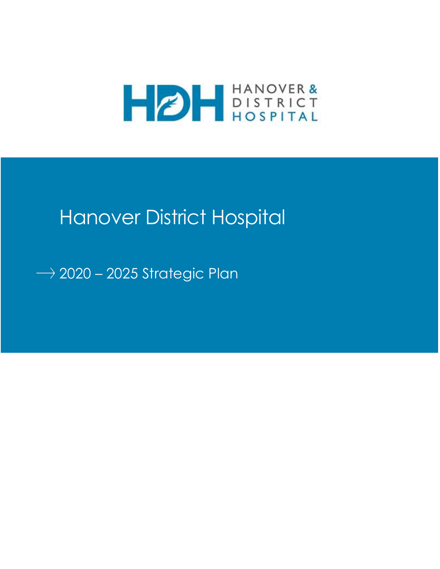

# Hanover District Hospital

 $\rightarrow$  2020 - 2025 Strategic Plan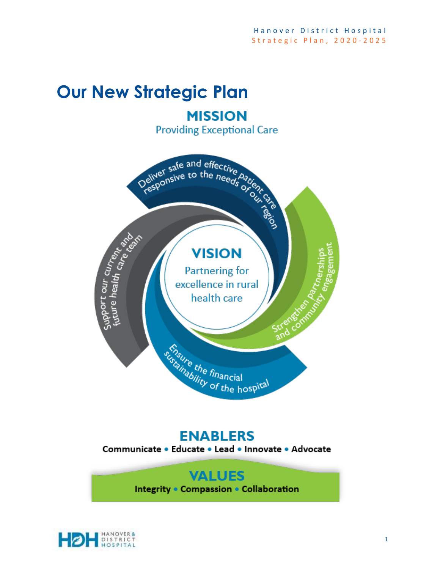# **Our New Strategic Plan MISSION**

**Providing Exceptional Care** 



## **ENABLERS**

Communicate . Educate . Lead . Innovate . Advocate

## **VALUES** Integrity . Compassion . Collaboration

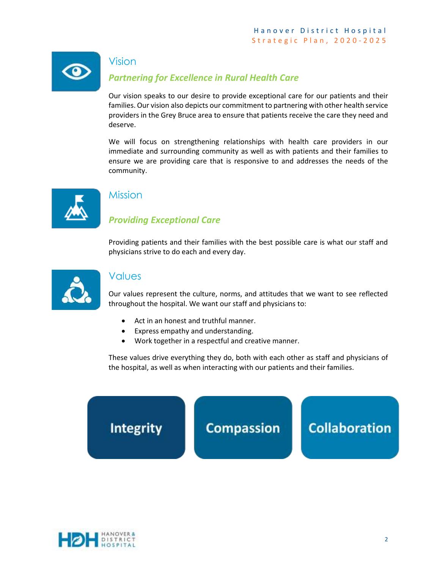

#### Vision

## *Partnering for Excellence in Rural Health Care*

Our vision speaks to our desire to provide exceptional care for our patients and their families. Our vision also depicts our commitment to partnering with other health service providers in the Grey Bruce area to ensure that patients receive the care they need and deserve.

We will focus on strengthening relationships with health care providers in our immediate and surrounding community as well as with patients and their families to ensure we are providing care that is responsive to and addresses the needs of the community.



## Mission

## *Providing Exceptional Care*

Providing patients and their families with the best possible care is what our staff and physicians strive to do each and every day.



#### Values

Our values represent the culture, norms, and attitudes that we want to see reflected throughout the hospital. We want our staff and physicians to:

- Act in an honest and truthful manner.
- Express empathy and understanding.
- Work together in a respectful and creative manner.

These values drive everything they do, both with each other as staff and physicians of the hospital, as well as when interacting with our patients and their families.



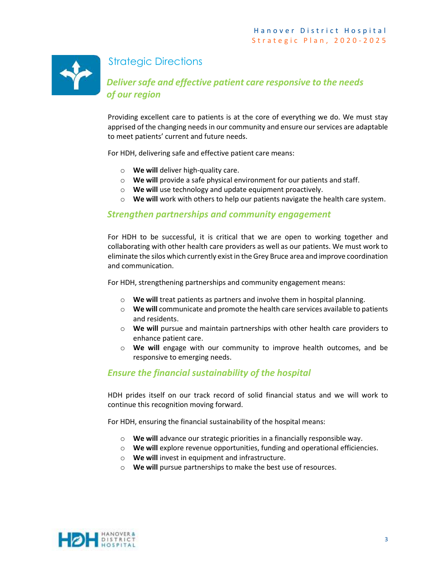

## Strategic Directions

## *Deliver safe and effective patient care responsive to the needs of our region*

Providing excellent care to patients is at the core of everything we do. We must stay apprised of the changing needs in our community and ensure our services are adaptable to meet patients' current and future needs.

For HDH, delivering safe and effective patient care means:

- o **We will** deliver high-quality care.
- o **We will** provide a safe physical environment for our patients and staff.
- o **We will** use technology and update equipment proactively.
- o **We will** work with others to help our patients navigate the health care system.

#### *Strengthen partnerships and community engagement*

For HDH to be successful, it is critical that we are open to working together and collaborating with other health care providers as well as our patients. We must work to eliminate the silos which currently exist in the Grey Bruce area and improve coordination and communication.

For HDH, strengthening partnerships and community engagement means:

- o **We will** treat patients as partners and involve them in hospital planning.
- o **We will** communicate and promote the health care services available to patients and residents.
- o **We will** pursue and maintain partnerships with other health care providers to enhance patient care.
- o **We will** engage with our community to improve health outcomes, and be responsive to emerging needs.

#### *Ensure the financial sustainability of the hospital*

HDH prides itself on our track record of solid financial status and we will work to continue this recognition moving forward.

For HDH, ensuring the financial sustainability of the hospital means:

- o **We will** advance our strategic priorities in a financially responsible way.
- o **We will** explore revenue opportunities, funding and operational efficiencies.
- o **We will** invest in equipment and infrastructure.
- o **We will** pursue partnerships to make the best use of resources.